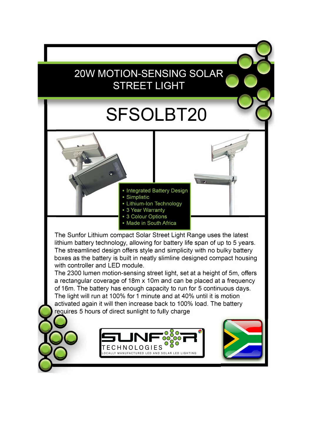## **20W MOTION-SENSING SOLAR STREET LIGHT**

## **SFSOLBT20**

• Integrated Battery Design

- Simplistic
- Lithium-Ion Technology
- 3 Year Warranty
- 3 Colour Options
- Made in South Africa

The Sunfor Lithium compact Solar Street Light Range uses the latest lithium battery technology, allowing for battery life span of up to 5 years. The streamlined design offers style and simplicity with no bulky battery boxes as the battery is built in neatly slimline designed compact housing with controller and LED module.

The 2300 lumen motion-sensing street light, set at a height of 5m, offers a rectangular coverage of 18m x 10m and can be placed at a frequency of 16m. The battery has enough capacity to run for 5 continuous days. The light will run at 100% for 1 minute and at 40% until it is motion activated again it will then increase back to 100% load. The battery requires 5 hours of direct sunlight to fully charge



**00** 

**0**